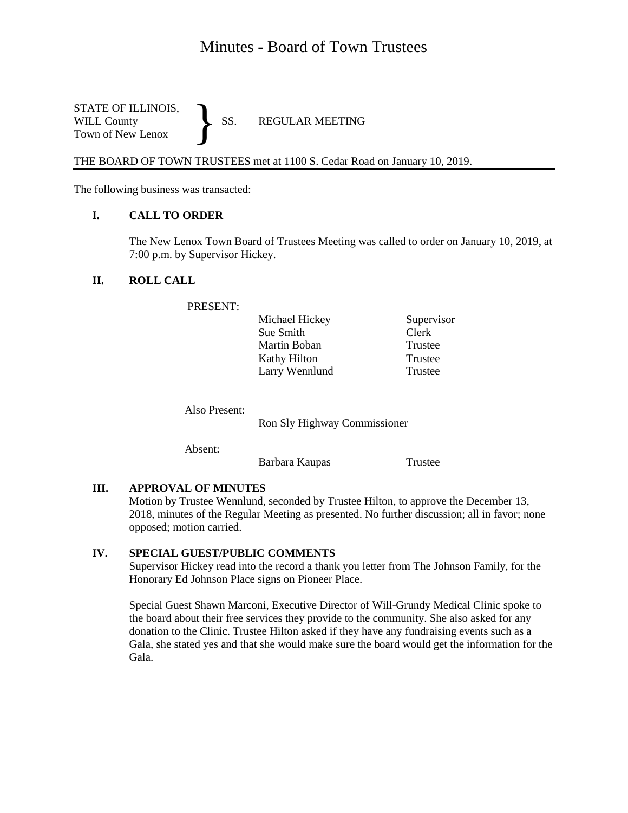# Minutes - Board of Town Trustees

STATE OF ILLINOIS,<br>WILL County SS. WILL County SS. REGULAR MEETING Town of New Lenox }

THE BOARD OF TOWN TRUSTEES met at 1100 S. Cedar Road on January 10, 2019.

The following business was transacted:

### **I. CALL TO ORDER**

The New Lenox Town Board of Trustees Meeting was called to order on January 10, 2019, at 7:00 p.m. by Supervisor Hickey.

### **II. ROLL CALL**

PRESENT:

| Michael Hickey | Supervisor |
|----------------|------------|
| Sue Smith      | Clerk      |
| Martin Boban   | Trustee    |
| Kathy Hilton   | Trustee    |
| Larry Wennlund | Trustee    |

Also Present:

Ron Sly Highway Commissioner

Absent:

Barbara Kaupas Trustee

## **III. APPROVAL OF MINUTES**

Motion by Trustee Wennlund, seconded by Trustee Hilton, to approve the December 13, 2018, minutes of the Regular Meeting as presented. No further discussion; all in favor; none opposed; motion carried.

## **IV. SPECIAL GUEST/PUBLIC COMMENTS**

Supervisor Hickey read into the record a thank you letter from The Johnson Family, for the Honorary Ed Johnson Place signs on Pioneer Place.

Special Guest Shawn Marconi, Executive Director of Will-Grundy Medical Clinic spoke to the board about their free services they provide to the community. She also asked for any donation to the Clinic. Trustee Hilton asked if they have any fundraising events such as a Gala, she stated yes and that she would make sure the board would get the information for the Gala.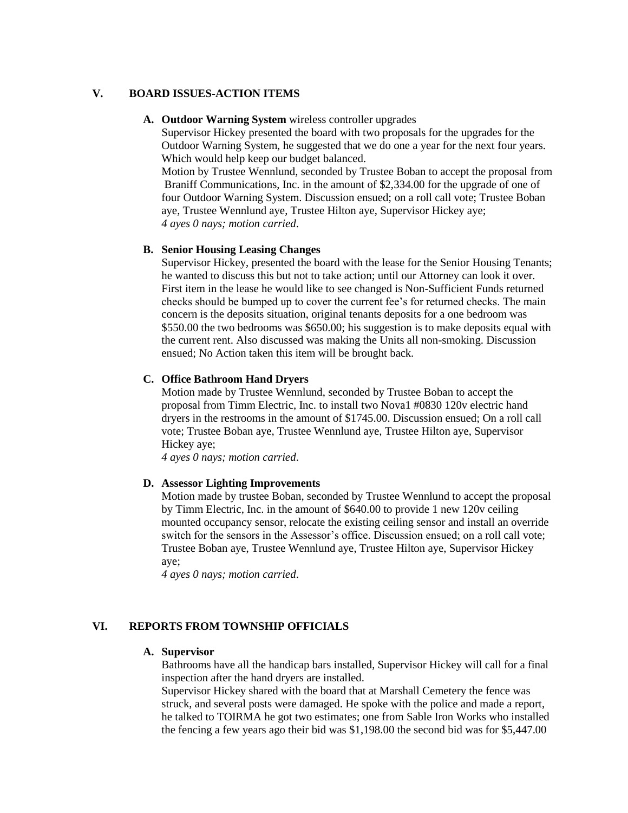### **V. BOARD ISSUES-ACTION ITEMS**

#### **A. Outdoor Warning System** wireless controller upgrades

Supervisor Hickey presented the board with two proposals for the upgrades for the Outdoor Warning System, he suggested that we do one a year for the next four years. Which would help keep our budget balanced.

Motion by Trustee Wennlund, seconded by Trustee Boban to accept the proposal from Braniff Communications, Inc. in the amount of \$2,334.00 for the upgrade of one of four Outdoor Warning System. Discussion ensued; on a roll call vote; Trustee Boban aye, Trustee Wennlund aye, Trustee Hilton aye, Supervisor Hickey aye; *4 ayes 0 nays; motion carried*.

#### **B. Senior Housing Leasing Changes**

Supervisor Hickey, presented the board with the lease for the Senior Housing Tenants; he wanted to discuss this but not to take action; until our Attorney can look it over. First item in the lease he would like to see changed is Non-Sufficient Funds returned checks should be bumped up to cover the current fee's for returned checks. The main concern is the deposits situation, original tenants deposits for a one bedroom was \$550.00 the two bedrooms was \$650.00; his suggestion is to make deposits equal with the current rent. Also discussed was making the Units all non-smoking. Discussion ensued; No Action taken this item will be brought back.

#### **C. Office Bathroom Hand Dryers**

Motion made by Trustee Wennlund, seconded by Trustee Boban to accept the proposal from Timm Electric, Inc. to install two Nova1 #0830 120v electric hand dryers in the restrooms in the amount of \$1745.00. Discussion ensued; On a roll call vote; Trustee Boban aye, Trustee Wennlund aye, Trustee Hilton aye, Supervisor Hickey aye;

*4 ayes 0 nays; motion carried*.

#### **D. Assessor Lighting Improvements**

Motion made by trustee Boban, seconded by Trustee Wennlund to accept the proposal by Timm Electric, Inc. in the amount of \$640.00 to provide 1 new 120v ceiling mounted occupancy sensor, relocate the existing ceiling sensor and install an override switch for the sensors in the Assessor's office. Discussion ensued; on a roll call vote; Trustee Boban aye, Trustee Wennlund aye, Trustee Hilton aye, Supervisor Hickey aye;

*4 ayes 0 nays; motion carried*.

## **VI. REPORTS FROM TOWNSHIP OFFICIALS**

#### **A. Supervisor**

Bathrooms have all the handicap bars installed, Supervisor Hickey will call for a final inspection after the hand dryers are installed.

Supervisor Hickey shared with the board that at Marshall Cemetery the fence was struck, and several posts were damaged. He spoke with the police and made a report, he talked to TOIRMA he got two estimates; one from Sable Iron Works who installed the fencing a few years ago their bid was \$1,198.00 the second bid was for \$5,447.00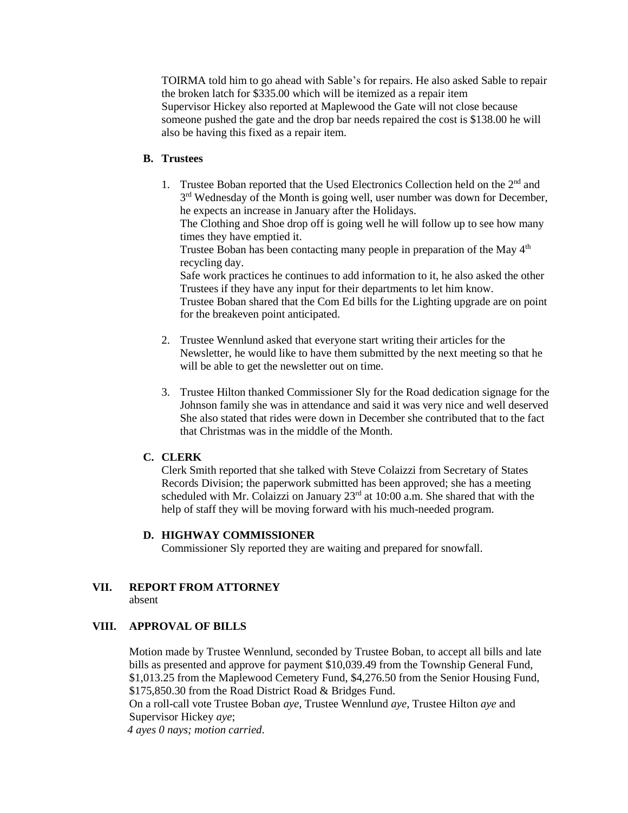TOIRMA told him to go ahead with Sable's for repairs. He also asked Sable to repair the broken latch for \$335.00 which will be itemized as a repair item Supervisor Hickey also reported at Maplewood the Gate will not close because someone pushed the gate and the drop bar needs repaired the cost is \$138.00 he will also be having this fixed as a repair item.

## **B. Trustees**

1. Trustee Boban reported that the Used Electronics Collection held on the 2<sup>nd</sup> and 3<sup>rd</sup> Wednesday of the Month is going well, user number was down for December, he expects an increase in January after the Holidays.

The Clothing and Shoe drop off is going well he will follow up to see how many times they have emptied it.

Trustee Boban has been contacting many people in preparation of the May  $4<sup>th</sup>$ recycling day.

Safe work practices he continues to add information to it, he also asked the other Trustees if they have any input for their departments to let him know.

Trustee Boban shared that the Com Ed bills for the Lighting upgrade are on point for the breakeven point anticipated.

- 2. Trustee Wennlund asked that everyone start writing their articles for the Newsletter, he would like to have them submitted by the next meeting so that he will be able to get the newsletter out on time.
- 3. Trustee Hilton thanked Commissioner Sly for the Road dedication signage for the Johnson family she was in attendance and said it was very nice and well deserved She also stated that rides were down in December she contributed that to the fact that Christmas was in the middle of the Month.

## **C. CLERK**

Clerk Smith reported that she talked with Steve Colaizzi from Secretary of States Records Division; the paperwork submitted has been approved; she has a meeting scheduled with Mr. Colaizzi on January  $23<sup>rd</sup>$  at 10:00 a.m. She shared that with the help of staff they will be moving forward with his much-needed program.

#### **D. HIGHWAY COMMISSIONER**

Commissioner Sly reported they are waiting and prepared for snowfall.

# **VII. REPORT FROM ATTORNEY**

absent

## **VIII. APPROVAL OF BILLS**

Motion made by Trustee Wennlund, seconded by Trustee Boban, to accept all bills and late bills as presented and approve for payment \$10,039.49 from the Township General Fund, \$1,013.25 from the Maplewood Cemetery Fund, \$4,276.50 from the Senior Housing Fund, \$175,850.30 from the Road District Road & Bridges Fund.

On a roll-call vote Trustee Boban *aye*, Trustee Wennlund *aye*, Trustee Hilton *aye* and Supervisor Hickey *aye*;

 *4 ayes 0 nays; motion carried*.